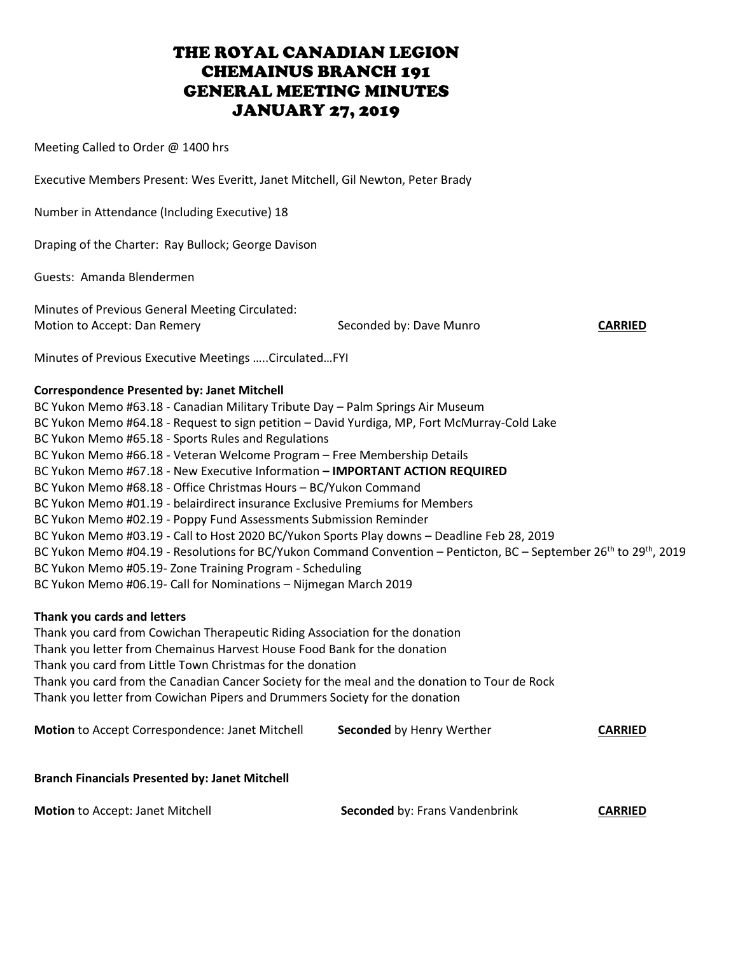Meeting Called to Order @ 1400 hrs

Executive Members Present: Wes Everitt, Janet Mitchell, Gil Newton, Peter Brady

Number in Attendance (Including Executive) 18

Draping of the Charter: Ray Bullock; George Davison

Guests: Amanda Blendermen

Minutes of Previous General Meeting Circulated: Motion to Accept: Dan Remery **Seconded by: Dave Munro** CARRIED

Minutes of Previous Executive Meetings …..Circulated…FYI

## **Correspondence Presented by: Janet Mitchell**

BC Yukon Memo #63.18 - Canadian Military Tribute Day – Palm Springs Air Museum BC Yukon Memo #64.18 - Request to sign petition – David Yurdiga, MP, Fort McMurray-Cold Lake BC Yukon Memo #65.18 - Sports Rules and Regulations BC Yukon Memo #66.18 - Veteran Welcome Program – Free Membership Details BC Yukon Memo #67.18 - New Executive Information **– IMPORTANT ACTION REQUIRED** BC Yukon Memo #68.18 - Office Christmas Hours – BC/Yukon Command BC Yukon Memo #01.19 - belairdirect insurance Exclusive Premiums for Members BC Yukon Memo #02.19 - Poppy Fund Assessments Submission Reminder BC Yukon Memo #03.19 - Call to Host 2020 BC/Yukon Sports Play downs – Deadline Feb 28, 2019 BC Yukon Memo #04.19 - Resolutions for BC/Yukon Command Convention – Penticton, BC – September 26<sup>th</sup> to 29<sup>th</sup>, 2019 BC Yukon Memo #05.19- Zone Training Program - Scheduling BC Yukon Memo #06.19- Call for Nominations – Nijmegan March 2019

## **Thank you cards and letters**

Thank you card from Cowichan Therapeutic Riding Association for the donation Thank you letter from Chemainus Harvest House Food Bank for the donation Thank you card from Little Town Christmas for the donation Thank you card from the Canadian Cancer Society for the meal and the donation to Tour de Rock Thank you letter from Cowichan Pipers and Drummers Society for the donation

**Motion** to Accept Correspondence: Janet Mitchell **Seconded** by Henry Werther **CARRIED**

## **Branch Financials Presented by: Janet Mitchell**

**Motion** to Accept: Janet Mitchell **Seconded** by: Frans Vandenbrink **CARRIED**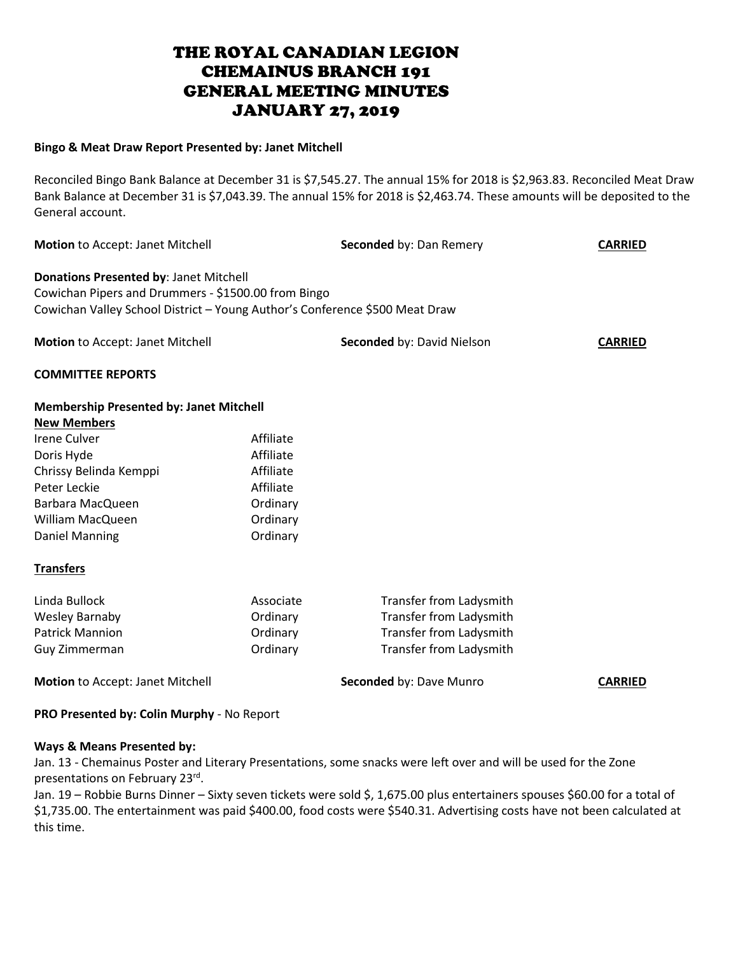## **Bingo & Meat Draw Report Presented by: Janet Mitchell**

Reconciled Bingo Bank Balance at December 31 is \$7,545.27. The annual 15% for 2018 is \$2,963.83. Reconciled Meat Draw Bank Balance at December 31 is \$7,043.39. The annual 15% for 2018 is \$2,463.74. These amounts will be deposited to the General account.

| Motion to Accept: Janet Mitchell                                                                                                                                             |           | Seconded by: Dan Remery        | <b>CARRIED</b> |
|------------------------------------------------------------------------------------------------------------------------------------------------------------------------------|-----------|--------------------------------|----------------|
| Donations Presented by: Janet Mitchell<br>Cowichan Pipers and Drummers - \$1500.00 from Bingo<br>Cowichan Valley School District - Young Author's Conference \$500 Meat Draw |           |                                |                |
| Motion to Accept: Janet Mitchell                                                                                                                                             |           | Seconded by: David Nielson     | <b>CARRIED</b> |
| <b>COMMITTEE REPORTS</b>                                                                                                                                                     |           |                                |                |
| <b>Membership Presented by: Janet Mitchell</b>                                                                                                                               |           |                                |                |
| <b>New Members</b>                                                                                                                                                           |           |                                |                |
| <b>Irene Culver</b>                                                                                                                                                          | Affiliate |                                |                |
| Doris Hyde                                                                                                                                                                   | Affiliate |                                |                |
| Chrissy Belinda Kemppi                                                                                                                                                       | Affiliate |                                |                |
| Peter Leckie                                                                                                                                                                 | Affiliate |                                |                |
| Barbara MacQueen                                                                                                                                                             | Ordinary  |                                |                |
| <b>William MacQueen</b>                                                                                                                                                      | Ordinary  |                                |                |
| Daniel Manning                                                                                                                                                               | Ordinary  |                                |                |
| <b>Transfers</b>                                                                                                                                                             |           |                                |                |
| Linda Bullock                                                                                                                                                                | Associate | <b>Transfer from Ladysmith</b> |                |
| <b>Wesley Barnaby</b>                                                                                                                                                        | Ordinary  | Transfer from Ladysmith        |                |
| <b>Patrick Mannion</b>                                                                                                                                                       | Ordinary  | <b>Transfer from Ladysmith</b> |                |
| Guy Zimmerman                                                                                                                                                                | Ordinary  | Transfer from Ladysmith        |                |
| Motion to Accept: Janet Mitchell                                                                                                                                             |           | Seconded by: Dave Munro        | <b>CARRIED</b> |

## **PRO Presented by: Colin Murphy** - No Report

## **Ways & Means Presented by:**

Jan. 13 - Chemainus Poster and Literary Presentations, some snacks were left over and will be used for the Zone presentations on February 23rd.

Jan. 19 – Robbie Burns Dinner – Sixty seven tickets were sold \$, 1,675.00 plus entertainers spouses \$60.00 for a total of \$1,735.00. The entertainment was paid \$400.00, food costs were \$540.31. Advertising costs have not been calculated at this time.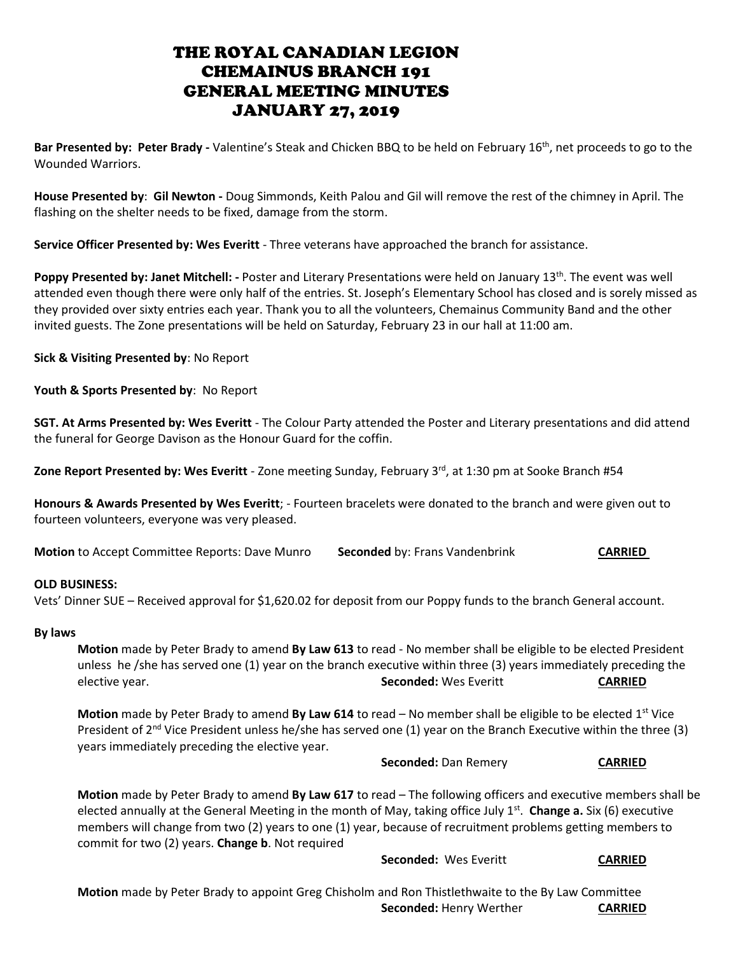**Bar Presented by: Peter Brady -** Valentine's Steak and Chicken BBQ to be held on February 16th, net proceeds to go to the Wounded Warriors.

**House Presented by**: **Gil Newton -** Doug Simmonds, Keith Palou and Gil will remove the rest of the chimney in April. The flashing on the shelter needs to be fixed, damage from the storm.

**Service Officer Presented by: Wes Everitt** - Three veterans have approached the branch for assistance.

Poppy Presented by: Janet Mitchell: - Poster and Literary Presentations were held on January 13<sup>th</sup>. The event was well attended even though there were only half of the entries. St. Joseph's Elementary School has closed and is sorely missed as they provided over sixty entries each year. Thank you to all the volunteers, Chemainus Community Band and the other invited guests. The Zone presentations will be held on Saturday, February 23 in our hall at 11:00 am.

**Sick & Visiting Presented by**: No Report

**Youth & Sports Presented by**: No Report

**SGT. At Arms Presented by: Wes Everitt** - The Colour Party attended the Poster and Literary presentations and did attend the funeral for George Davison as the Honour Guard for the coffin.

**Zone Report Presented by: Wes Everitt** - Zone meeting Sunday, February 3<sup>rd</sup>, at 1:30 pm at Sooke Branch #54

**Honours & Awards Presented by Wes Everitt**; - Fourteen bracelets were donated to the branch and were given out to fourteen volunteers, everyone was very pleased.

**Motion to Accept Committee Reports: Dave Munro <b>Seconded** by: Frans Vandenbrink **CARRIED** 

## **OLD BUSINESS:**

Vets' Dinner SUE – Received approval for \$1,620.02 for deposit from our Poppy funds to the branch General account.

## **By laws**

**Motion** made by Peter Brady to amend **By Law 613** to read - No member shall be eligible to be elected President unless he /she has served one (1) year on the branch executive within three (3) years immediately preceding the elective year. **Seconded:** Wes Everitt **CARRIED**

**Motion** made by Peter Brady to amend **By Law 614** to read – No member shall be eligible to be elected 1<sup>st</sup> Vice President of  $2^{nd}$  Vice President unless he/she has served one (1) year on the Branch Executive within the three (3) years immediately preceding the elective year.

**Seconded:** Dan Remery **CARRIED**

**Motion** made by Peter Brady to amend **By Law 617** to read – The following officers and executive members shall be elected annually at the General Meeting in the month of May, taking office July 1<sup>st</sup>. **Change a.** Six (6) executive members will change from two (2) years to one (1) year, because of recruitment problems getting members to commit for two (2) years. **Change b**. Not required

**Seconded:** Wes Everitt **CARRIED** 

**Motion** made by Peter Brady to appoint Greg Chisholm and Ron Thistlethwaite to the By Law Committee **Seconded: Henry Werther CARRIED**